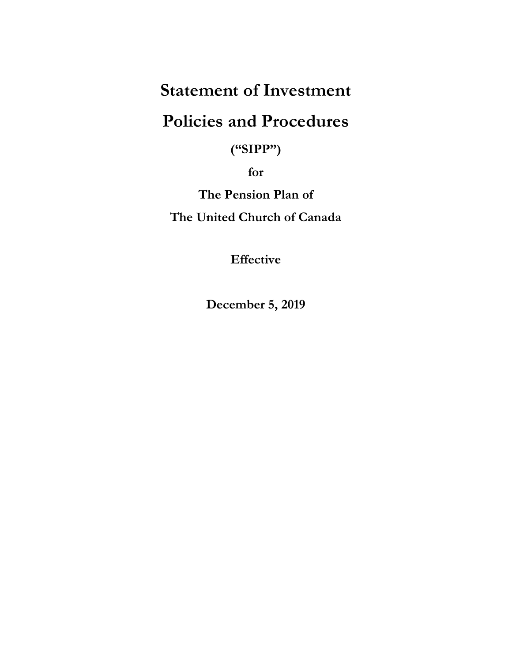# **Statement of Investment**

# **Policies and Procedures**

**("SIPP")**

**for**

**The Pension Plan of**

**The United Church of Canada**

**Effective**

**December 5, 2019**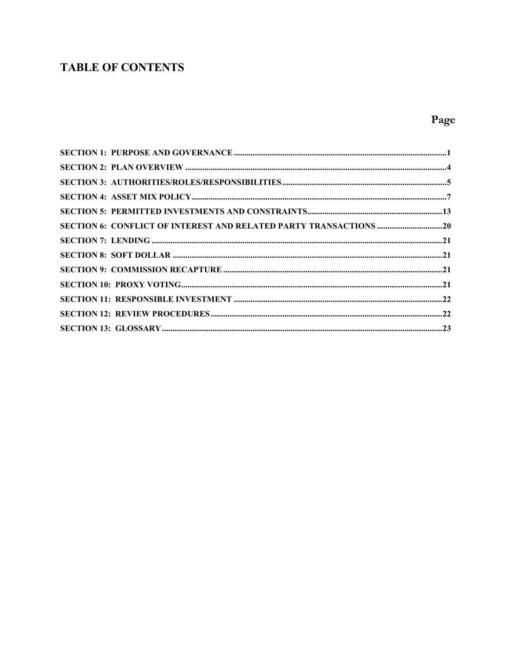## **TABLE OF CONTENTS**

## Page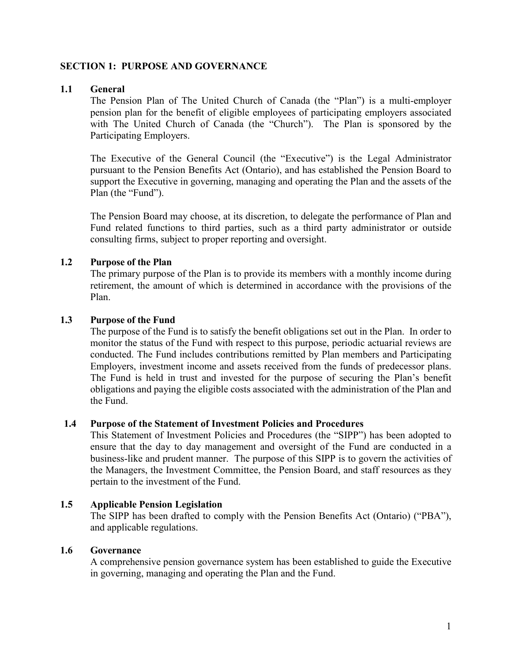### <span id="page-2-0"></span>**SECTION 1: PURPOSE AND GOVERNANCE**

#### **1.1 General**

The Pension Plan of The United Church of Canada (the "Plan") is a multi-employer pension plan for the benefit of eligible employees of participating employers associated with The United Church of Canada (the "Church"). The Plan is sponsored by the Participating Employers.

The Executive of the General Council (the "Executive") is the Legal Administrator pursuant to the Pension Benefits Act (Ontario), and has established the Pension Board to support the Executive in governing, managing and operating the Plan and the assets of the Plan (the "Fund").

The Pension Board may choose, at its discretion, to delegate the performance of Plan and Fund related functions to third parties, such as a third party administrator or outside consulting firms, subject to proper reporting and oversight.

### **1.2 Purpose of the Plan**

The primary purpose of the Plan is to provide its members with a monthly income during retirement, the amount of which is determined in accordance with the provisions of the Plan.

#### **1.3 Purpose of the Fund**

The purpose of the Fund is to satisfy the benefit obligations set out in the Plan. In order to monitor the status of the Fund with respect to this purpose, periodic actuarial reviews are conducted. The Fund includes contributions remitted by Plan members and Participating Employers, investment income and assets received from the funds of predecessor plans. The Fund is held in trust and invested for the purpose of securing the Plan's benefit obligations and paying the eligible costs associated with the administration of the Plan and the Fund.

#### **1.4 Purpose of the Statement of Investment Policies and Procedures**

This Statement of Investment Policies and Procedures (the "SIPP") has been adopted to ensure that the day to day management and oversight of the Fund are conducted in a business-like and prudent manner. The purpose of this SIPP is to govern the activities of the Managers, the Investment Committee, the Pension Board, and staff resources as they pertain to the investment of the Fund.

#### **1.5 Applicable Pension Legislation**

The SIPP has been drafted to comply with the Pension Benefits Act (Ontario) ("PBA"), and applicable regulations.

#### **1.6 Governance**

A comprehensive pension governance system has been established to guide the Executive in governing, managing and operating the Plan and the Fund.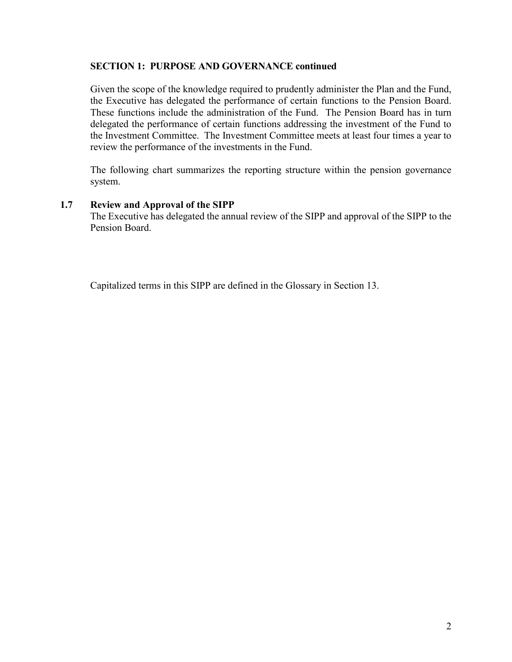#### **SECTION 1: PURPOSE AND GOVERNANCE continued**

Given the scope of the knowledge required to prudently administer the Plan and the Fund, the Executive has delegated the performance of certain functions to the Pension Board. These functions include the administration of the Fund. The Pension Board has in turn delegated the performance of certain functions addressing the investment of the Fund to the Investment Committee. The Investment Committee meets at least four times a year to review the performance of the investments in the Fund.

The following chart summarizes the reporting structure within the pension governance system.

### **1.7 Review and Approval of the SIPP**

The Executive has delegated the annual review of the SIPP and approval of the SIPP to the Pension Board.

Capitalized terms in this SIPP are defined in the Glossary in Section 13.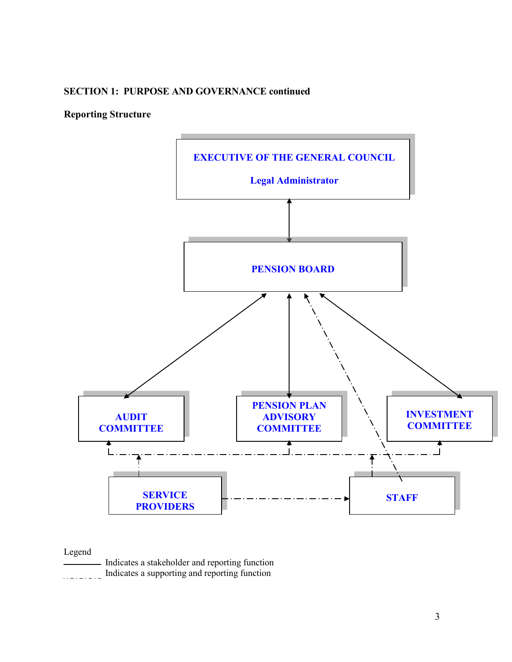#### **SECTION 1: PURPOSE AND GOVERNANCE continued**

## **Reporting Structure**



### Legend

| Indicates a stakeholder and reporting function |
|------------------------------------------------|
| Indicates a supporting and reporting function  |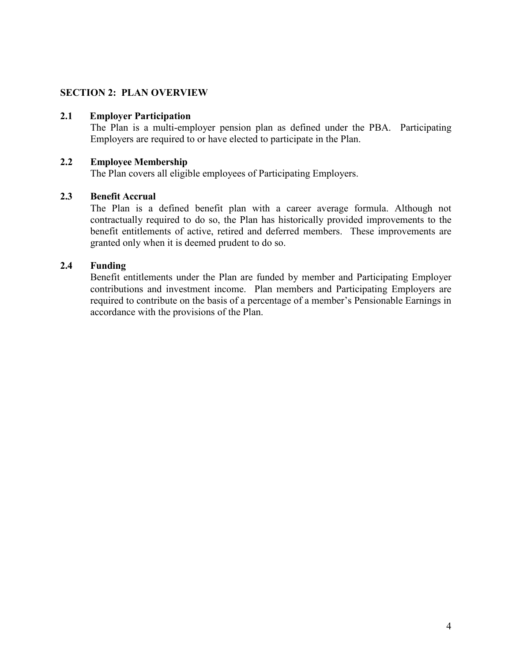## <span id="page-5-0"></span>**SECTION 2: PLAN OVERVIEW**

#### **2.1 Employer Participation**

The Plan is a multi-employer pension plan as defined under the PBA. Participating Employers are required to or have elected to participate in the Plan.

#### **2.2 Employee Membership**

The Plan covers all eligible employees of Participating Employers.

#### **2.3 Benefit Accrual**

The Plan is a defined benefit plan with a career average formula. Although not contractually required to do so, the Plan has historically provided improvements to the benefit entitlements of active, retired and deferred members. These improvements are granted only when it is deemed prudent to do so.

#### **2.4 Funding**

Benefit entitlements under the Plan are funded by member and Participating Employer contributions and investment income. Plan members and Participating Employers are required to contribute on the basis of a percentage of a member's Pensionable Earnings in accordance with the provisions of the Plan.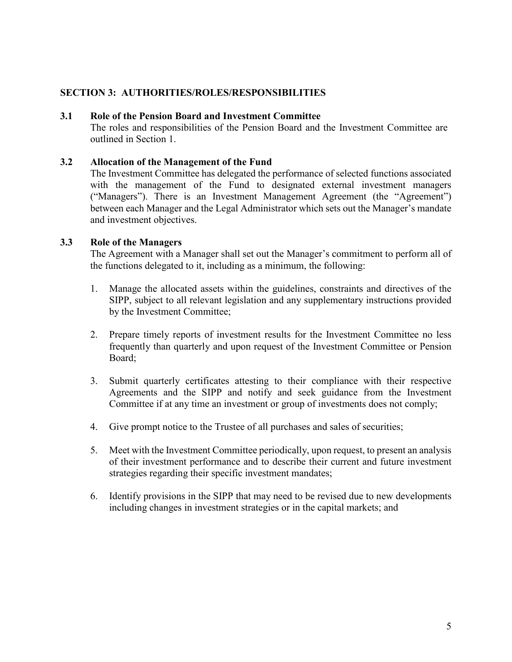## <span id="page-6-0"></span>**SECTION 3: AUTHORITIES/ROLES/RESPONSIBILITIES**

#### **3.1 Role of the Pension Board and Investment Committee**

The roles and responsibilities of the Pension Board and the Investment Committee are outlined in Section 1.

#### **3.2 Allocation of the Management of the Fund**

The Investment Committee has delegated the performance of selected functions associated with the management of the Fund to designated external investment managers ("Managers"). There is an Investment Management Agreement (the "Agreement") between each Manager and the Legal Administrator which sets out the Manager's mandate and investment objectives.

#### **3.3 Role of the Managers**

The Agreement with a Manager shall set out the Manager's commitment to perform all of the functions delegated to it, including as a minimum, the following:

- 1. Manage the allocated assets within the guidelines, constraints and directives of the SIPP, subject to all relevant legislation and any supplementary instructions provided by the Investment Committee;
- 2. Prepare timely reports of investment results for the Investment Committee no less frequently than quarterly and upon request of the Investment Committee or Pension Board;
- 3. Submit quarterly certificates attesting to their compliance with their respective Agreements and the SIPP and notify and seek guidance from the Investment Committee if at any time an investment or group of investments does not comply;
- 4. Give prompt notice to the Trustee of all purchases and sales of securities;
- 5. Meet with the Investment Committee periodically, upon request, to present an analysis of their investment performance and to describe their current and future investment strategies regarding their specific investment mandates;
- 6. Identify provisions in the SIPP that may need to be revised due to new developments including changes in investment strategies or in the capital markets; and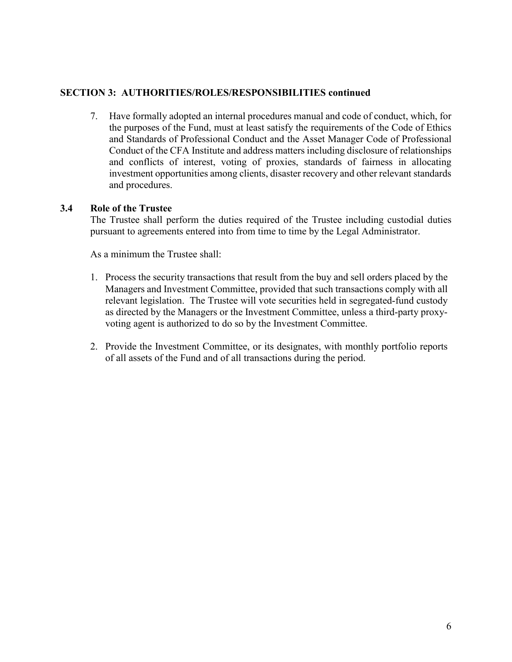## **SECTION 3: AUTHORITIES/ROLES/RESPONSIBILITIES continued**

7. Have formally adopted an internal procedures manual and code of conduct, which, for the purposes of the Fund, must at least satisfy the requirements of the Code of Ethics and Standards of Professional Conduct and the Asset Manager Code of Professional Conduct of the CFA Institute and address matters including disclosure of relationships and conflicts of interest, voting of proxies, standards of fairness in allocating investment opportunities among clients, disaster recovery and other relevant standards and procedures.

#### **3.4 Role of the Trustee**

The Trustee shall perform the duties required of the Trustee including custodial duties pursuant to agreements entered into from time to time by the Legal Administrator.

As a minimum the Trustee shall:

- 1. Process the security transactions that result from the buy and sell orders placed by the Managers and Investment Committee, provided that such transactions comply with all relevant legislation. The Trustee will vote securities held in segregated-fund custody as directed by the Managers or the Investment Committee, unless a third-party proxyvoting agent is authorized to do so by the Investment Committee.
- 2. Provide the Investment Committee, or its designates, with monthly portfolio reports of all assets of the Fund and of all transactions during the period.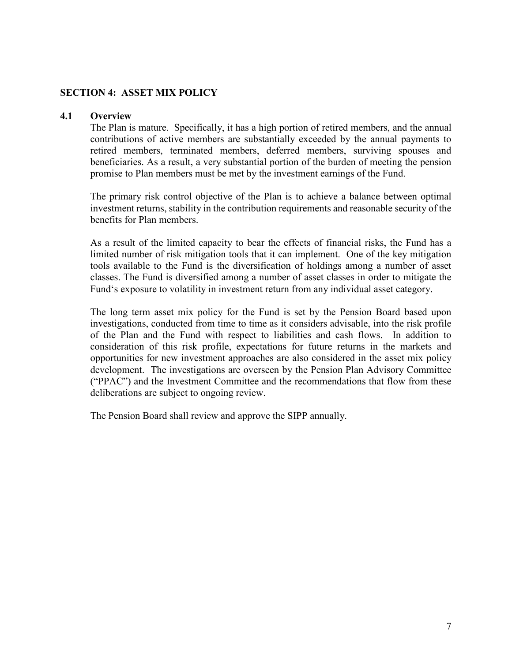## <span id="page-8-0"></span>**SECTION 4: ASSET MIX POLICY**

#### **4.1 Overview**

The Plan is mature. Specifically, it has a high portion of retired members, and the annual contributions of active members are substantially exceeded by the annual payments to retired members, terminated members, deferred members, surviving spouses and beneficiaries. As a result, a very substantial portion of the burden of meeting the pension promise to Plan members must be met by the investment earnings of the Fund.

The primary risk control objective of the Plan is to achieve a balance between optimal investment returns, stability in the contribution requirements and reasonable security of the benefits for Plan members.

As a result of the limited capacity to bear the effects of financial risks, the Fund has a limited number of risk mitigation tools that it can implement. One of the key mitigation tools available to the Fund is the diversification of holdings among a number of asset classes. The Fund is diversified among a number of asset classes in order to mitigate the Fund's exposure to volatility in investment return from any individual asset category.

The long term asset mix policy for the Fund is set by the Pension Board based upon investigations, conducted from time to time as it considers advisable, into the risk profile of the Plan and the Fund with respect to liabilities and cash flows. In addition to consideration of this risk profile, expectations for future returns in the markets and opportunities for new investment approaches are also considered in the asset mix policy development. The investigations are overseen by the Pension Plan Advisory Committee ("PPAC") and the Investment Committee and the recommendations that flow from these deliberations are subject to ongoing review.

The Pension Board shall review and approve the SIPP annually.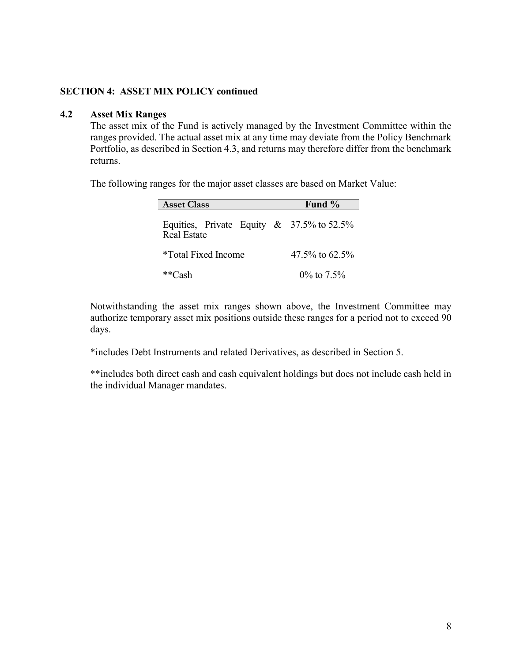#### **4.2 Asset Mix Ranges**

The asset mix of the Fund is actively managed by the Investment Committee within the ranges provided. The actual asset mix at any time may deviate from the Policy Benchmark Portfolio, as described in Section 4.3, and returns may therefore differ from the benchmark returns.

The following ranges for the major asset classes are based on Market Value:

| <b>Asset Class</b>                                                    | Fund $\%$         |
|-----------------------------------------------------------------------|-------------------|
| Equities, Private Equity & $37.5\%$ to $52.5\%$<br><b>Real Estate</b> |                   |
| *Total Fixed Income                                                   | $47.5\%$ to 62.5% |
| **Cash                                                                | $0\%$ to $7.5\%$  |

Notwithstanding the asset mix ranges shown above, the Investment Committee may authorize temporary asset mix positions outside these ranges for a period not to exceed 90 days.

\*includes Debt Instruments and related Derivatives, as described in Section 5.

\*\*includes both direct cash and cash equivalent holdings but does not include cash held in the individual Manager mandates.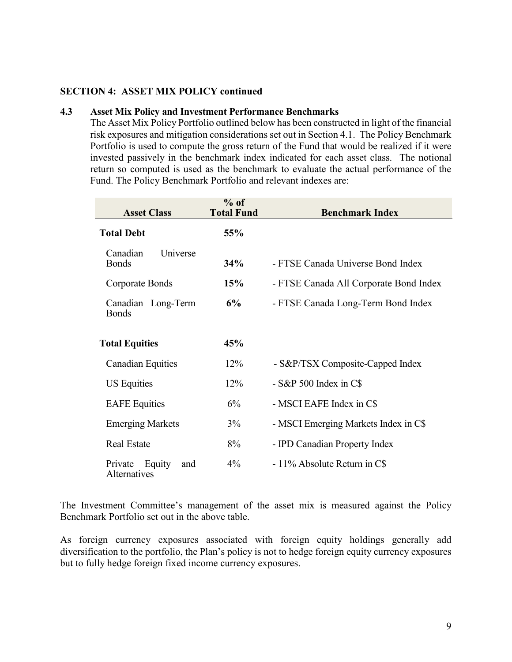#### **4.3 Asset Mix Policy and Investment Performance Benchmarks**

The Asset Mix Policy Portfolio outlined below has been constructed in light of the financial risk exposures and mitigation considerations set out in Section 4.1. The Policy Benchmark Portfolio is used to compute the gross return of the Fund that would be realized if it were invested passively in the benchmark index indicated for each asset class. The notional return so computed is used as the benchmark to evaluate the actual performance of the Fund. The Policy Benchmark Portfolio and relevant indexes are:

| <b>Asset Class</b>                    | $%$ of<br><b>Total Fund</b> | <b>Benchmark Index</b>                 |
|---------------------------------------|-----------------------------|----------------------------------------|
| <b>Total Debt</b>                     | 55%                         |                                        |
| Universe<br>Canadian<br><b>Bonds</b>  | 34%                         | - FTSE Canada Universe Bond Index      |
| Corporate Bonds                       | 15%                         | - FTSE Canada All Corporate Bond Index |
| Canadian Long-Term<br><b>Bonds</b>    | 6%                          | - FTSE Canada Long-Term Bond Index     |
| <b>Total Equities</b>                 | 45%                         |                                        |
| <b>Canadian Equities</b>              | 12%                         | - S&P/TSX Composite-Capped Index       |
| <b>US Equities</b>                    | 12%                         | $-S\&P 500$ Index in C\$               |
| <b>EAFE</b> Equities                  | 6%                          | - MSCI EAFE Index in C\$               |
| <b>Emerging Markets</b>               | 3%                          | - MSCI Emerging Markets Index in C\$   |
| <b>Real Estate</b>                    | 8%                          | - IPD Canadian Property Index          |
| Private Equity<br>and<br>Alternatives | $4\%$                       | $-11\%$ Absolute Return in C\$         |

The Investment Committee's management of the asset mix is measured against the Policy Benchmark Portfolio set out in the above table.

As foreign currency exposures associated with foreign equity holdings generally add diversification to the portfolio, the Plan's policy is not to hedge foreign equity currency exposures but to fully hedge foreign fixed income currency exposures.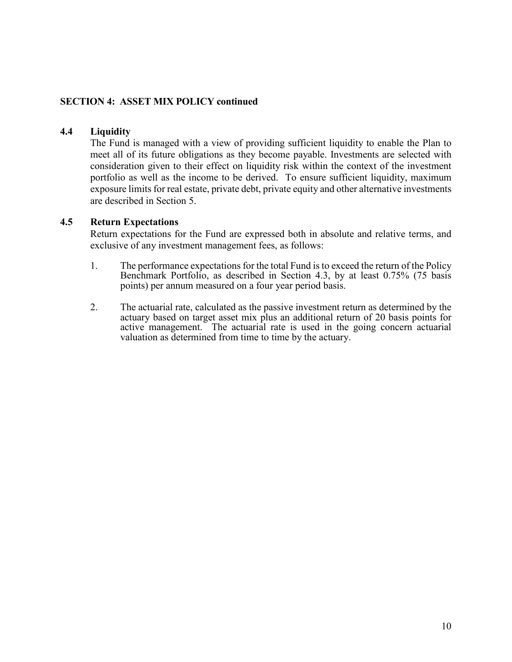#### **4.4 Liquidity**

The Fund is managed with a view of providing sufficient liquidity to enable the Plan to meet all of its future obligations as they become payable. Investments are selected with consideration given to their effect on liquidity risk within the context of the investment portfolio as well as the income to be derived. To ensure sufficient liquidity, maximum exposure limits for real estate, private debt, private equity and other alternative investments are described in Section 5.

#### **4.5 Return Expectations**

Return expectations for the Fund are expressed both in absolute and relative terms, and exclusive of any investment management fees, as follows:

- 1. The performance expectations for the total Fund is to exceed the return of the Policy Benchmark Portfolio, as described in Section 4.3, by at least 0.75% (75 basis points) per annum measured on a four year period basis.
- 2. The actuarial rate, calculated as the passive investment return as determined by the actuary based on target asset mix plus an additional return of 20 basis points for active management. The actuarial rate is used in the going concern actuarial valuation as determined from time to time by the actuary.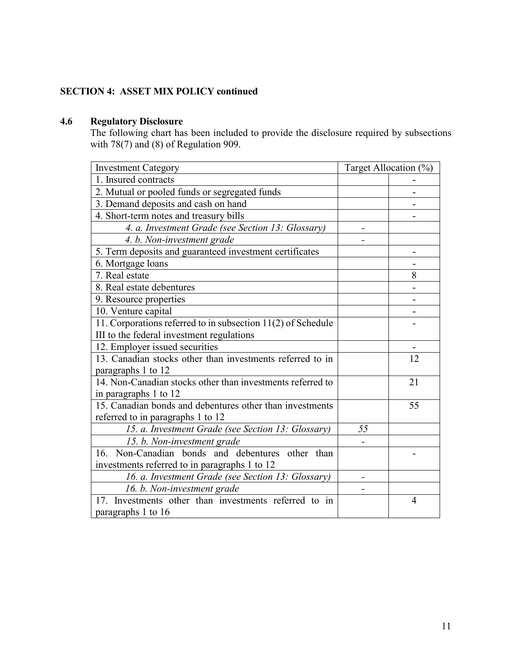## **4.6 Regulatory Disclosure**

The following chart has been included to provide the disclosure required by subsections with  $78(7)$  and  $(8)$  of Regulation 909.

| <b>Investment Category</b>                                   | Target Allocation (%) |                |
|--------------------------------------------------------------|-----------------------|----------------|
| 1. Insured contracts                                         |                       |                |
| 2. Mutual or pooled funds or segregated funds                |                       |                |
| 3. Demand deposits and cash on hand                          |                       |                |
| 4. Short-term notes and treasury bills                       |                       |                |
| 4. a. Investment Grade (see Section 13: Glossary)            |                       |                |
| 4. b. Non-investment grade                                   |                       |                |
| 5. Term deposits and guaranteed investment certificates      |                       |                |
| 6. Mortgage loans                                            |                       |                |
| 7. Real estate                                               |                       | 8              |
| 8. Real estate debentures                                    |                       |                |
| 9. Resource properties                                       |                       |                |
| 10. Venture capital                                          |                       |                |
| 11. Corporations referred to in subsection 11(2) of Schedule |                       |                |
| III to the federal investment regulations                    |                       |                |
| 12. Employer issued securities                               |                       |                |
| 13. Canadian stocks other than investments referred to in    |                       | 12             |
| paragraphs 1 to 12                                           |                       |                |
| 14. Non-Canadian stocks other than investments referred to   |                       | 21             |
| in paragraphs 1 to 12                                        |                       |                |
| 15. Canadian bonds and debentures other than investments     |                       | 55             |
| referred to in paragraphs 1 to 12                            |                       |                |
| 15. a. Investment Grade (see Section 13: Glossary)           | 55                    |                |
| 15. b. Non-investment grade                                  |                       |                |
| 16. Non-Canadian bonds and debentures other than             |                       |                |
| investments referred to in paragraphs 1 to 12                |                       |                |
| 16. a. Investment Grade (see Section 13: Glossary)           |                       |                |
| 16. b. Non-investment grade                                  |                       |                |
| 17. Investments other than investments referred to in        |                       | $\overline{4}$ |
| paragraphs 1 to 16                                           |                       |                |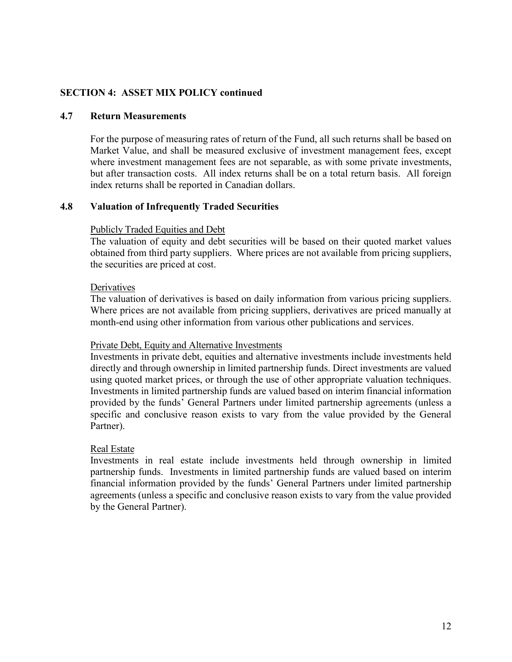#### **4.7 Return Measurements**

For the purpose of measuring rates of return of the Fund, all such returns shall be based on Market Value, and shall be measured exclusive of investment management fees, except where investment management fees are not separable, as with some private investments, but after transaction costs. All index returns shall be on a total return basis. All foreign index returns shall be reported in Canadian dollars.

#### **4.8 Valuation of Infrequently Traded Securities**

#### Publicly Traded Equities and Debt

The valuation of equity and debt securities will be based on their quoted market values obtained from third party suppliers. Where prices are not available from pricing suppliers, the securities are priced at cost.

#### **Derivatives**

The valuation of derivatives is based on daily information from various pricing suppliers. Where prices are not available from pricing suppliers, derivatives are priced manually at month-end using other information from various other publications and services.

#### Private Debt, Equity and Alternative Investments

Investments in private debt, equities and alternative investments include investments held directly and through ownership in limited partnership funds. Direct investments are valued using quoted market prices, or through the use of other appropriate valuation techniques. Investments in limited partnership funds are valued based on interim financial information provided by the funds' General Partners under limited partnership agreements (unless a specific and conclusive reason exists to vary from the value provided by the General Partner).

#### Real Estate

Investments in real estate include investments held through ownership in limited partnership funds. Investments in limited partnership funds are valued based on interim financial information provided by the funds' General Partners under limited partnership agreements (unless a specific and conclusive reason exists to vary from the value provided by the General Partner).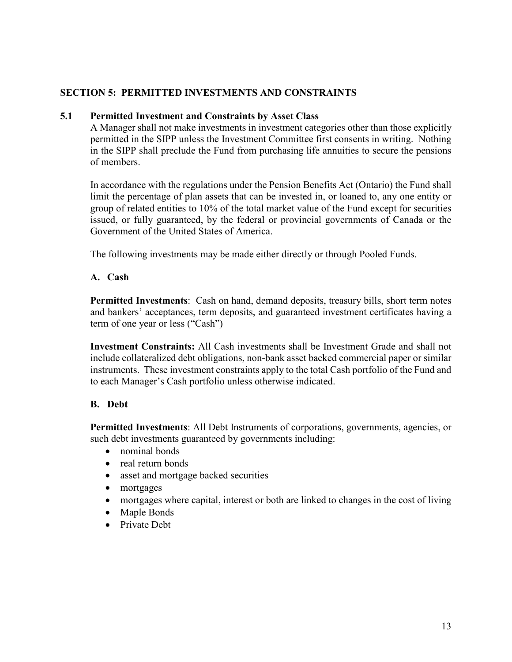#### <span id="page-14-0"></span>**5.1 Permitted Investment and Constraints by Asset Class**

A Manager shall not make investments in investment categories other than those explicitly permitted in the SIPP unless the Investment Committee first consents in writing. Nothing in the SIPP shall preclude the Fund from purchasing life annuities to secure the pensions of members.

In accordance with the regulations under the Pension Benefits Act (Ontario) the Fund shall limit the percentage of plan assets that can be invested in, or loaned to, any one entity or group of related entities to 10% of the total market value of the Fund except for securities issued, or fully guaranteed, by the federal or provincial governments of Canada or the Government of the United States of America.

The following investments may be made either directly or through Pooled Funds.

#### **A. Cash**

**Permitted Investments**: Cash on hand, demand deposits, treasury bills, short term notes and bankers' acceptances, term deposits, and guaranteed investment certificates having a term of one year or less ("Cash")

**Investment Constraints:** All Cash investments shall be Investment Grade and shall not include collateralized debt obligations, non-bank asset backed commercial paper or similar instruments. These investment constraints apply to the total Cash portfolio of the Fund and to each Manager's Cash portfolio unless otherwise indicated.

## **B. Debt**

**Permitted Investments**: All Debt Instruments of corporations, governments, agencies, or such debt investments guaranteed by governments including:

- nominal bonds
- real return bonds
- asset and mortgage backed securities
- mortgages
- mortgages where capital, interest or both are linked to changes in the cost of living
- Maple Bonds
- Private Debt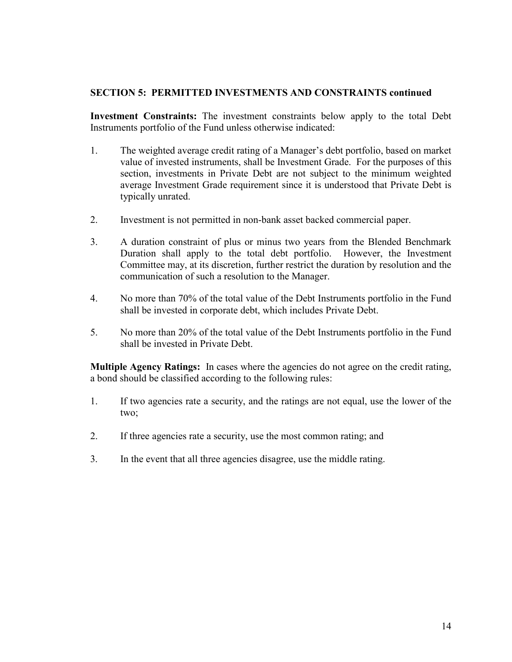**Investment Constraints:** The investment constraints below apply to the total Debt Instruments portfolio of the Fund unless otherwise indicated:

- 1. The weighted average credit rating of a Manager's debt portfolio, based on market value of invested instruments, shall be Investment Grade. For the purposes of this section, investments in Private Debt are not subject to the minimum weighted average Investment Grade requirement since it is understood that Private Debt is typically unrated.
- 2. Investment is not permitted in non-bank asset backed commercial paper.
- 3. A duration constraint of plus or minus two years from the Blended Benchmark Duration shall apply to the total debt portfolio. However, the Investment Committee may, at its discretion, further restrict the duration by resolution and the communication of such a resolution to the Manager.
- 4. No more than 70% of the total value of the Debt Instruments portfolio in the Fund shall be invested in corporate debt, which includes Private Debt.
- 5. No more than 20% of the total value of the Debt Instruments portfolio in the Fund shall be invested in Private Debt.

**Multiple Agency Ratings:** In cases where the agencies do not agree on the credit rating, a bond should be classified according to the following rules:

- 1. If two agencies rate a security, and the ratings are not equal, use the lower of the two;
- 2. If three agencies rate a security, use the most common rating; and
- 3. In the event that all three agencies disagree, use the middle rating.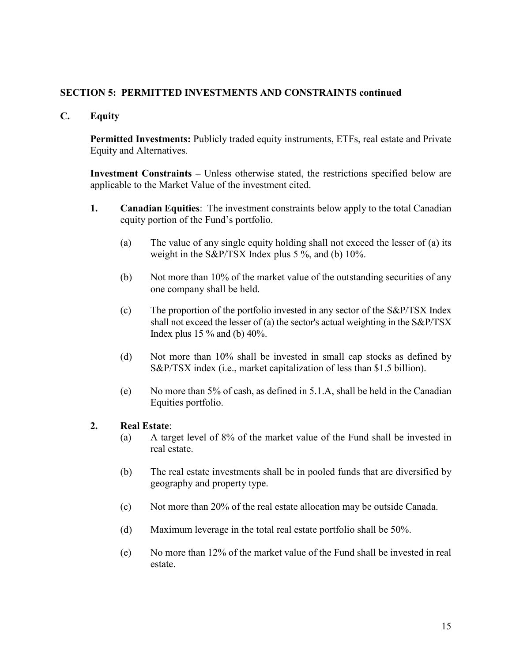**C. Equity**

**Permitted Investments:** Publicly traded equity instruments, ETFs, real estate and Private Equity and Alternatives.

**Investment Constraints –** Unless otherwise stated, the restrictions specified below are applicable to the Market Value of the investment cited.

- **1. Canadian Equities**: The investment constraints below apply to the total Canadian equity portion of the Fund's portfolio.
	- (a) The value of any single equity holding shall not exceed the lesser of (a) its weight in the S&P/TSX Index plus 5 %, and (b) 10%.
	- (b) Not more than 10% of the market value of the outstanding securities of any one company shall be held.
	- (c) The proportion of the portfolio invested in any sector of the S&P/TSX Index shall not exceed the lesser of (a) the sector's actual weighting in the S&P/TSX Index plus 15 % and (b) 40%.
	- (d) Not more than 10% shall be invested in small cap stocks as defined by S&P/TSX index (i.e., market capitalization of less than \$1.5 billion).
	- (e) No more than 5% of cash, as defined in 5.1.A, shall be held in the Canadian Equities portfolio.

#### **2. Real Estate**:

- (a) A target level of 8% of the market value of the Fund shall be invested in real estate.
- (b) The real estate investments shall be in pooled funds that are diversified by geography and property type.
- (c) Not more than 20% of the real estate allocation may be outside Canada.
- (d) Maximum leverage in the total real estate portfolio shall be 50%.
- (e) No more than 12% of the market value of the Fund shall be invested in real estate.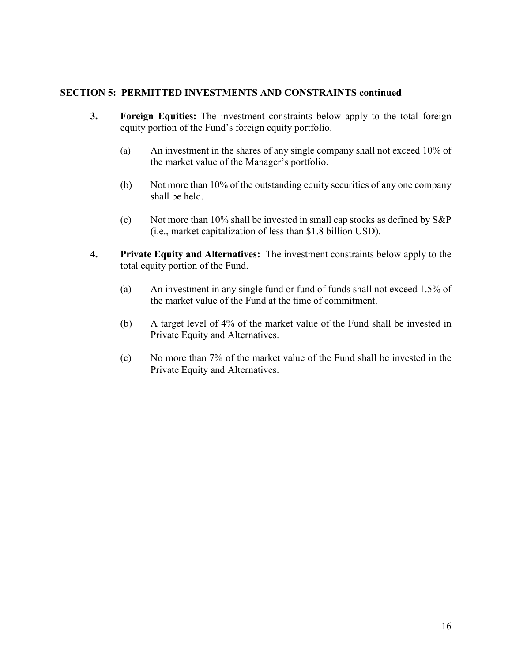- **3. Foreign Equities:** The investment constraints below apply to the total foreign equity portion of the Fund's foreign equity portfolio.
	- (a) An investment in the shares of any single company shall not exceed 10% of the market value of the Manager's portfolio.
	- (b) Not more than 10% of the outstanding equity securities of any one company shall be held.
	- (c) Not more than 10% shall be invested in small cap stocks as defined by  $S\&P$ (i.e., market capitalization of less than \$1.8 billion USD).
- **4. Private Equity and Alternatives:** The investment constraints below apply to the total equity portion of the Fund.
	- (a) An investment in any single fund or fund of funds shall not exceed 1.5% of the market value of the Fund at the time of commitment.
	- (b) A target level of 4% of the market value of the Fund shall be invested in Private Equity and Alternatives.
	- (c) No more than 7% of the market value of the Fund shall be invested in the Private Equity and Alternatives.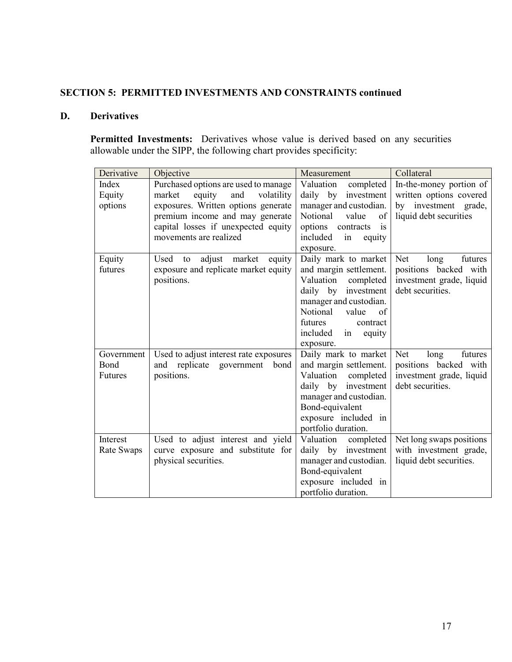## **D. Derivatives**

Permitted Investments: Derivatives whose value is derived based on any securities allowable under the SIPP, the following chart provides specificity:

| Derivative | Objective                                | Measurement                              | Collateral               |
|------------|------------------------------------------|------------------------------------------|--------------------------|
| Index      | Purchased options are used to manage     | Valuation<br>completed                   | In-the-money portion of  |
| Equity     | equity<br>and<br>volatility<br>market    | daily by<br>investment                   | written options covered  |
| options    | exposures. Written options generate      | manager and custodian.                   | by investment grade,     |
|            | premium income and may generate          | Notional<br>of<br>value                  | liquid debt securities   |
|            | capital losses if unexpected equity      | options<br>contracts<br>$\frac{1}{1}$    |                          |
|            | movements are realized                   | included<br>equity<br>in                 |                          |
|            |                                          | exposure.                                |                          |
| Equity     | Used<br>adjust<br>market<br>equity<br>to | Daily mark to market                     | futures<br>Net<br>long   |
| futures    | exposure and replicate market equity     | and margin settlement.                   | positions backed with    |
|            | positions.                               | Valuation<br>completed                   | investment grade, liquid |
|            |                                          | daily by<br>investment                   | debt securities.         |
|            |                                          | manager and custodian.<br>Notional<br>of |                          |
|            |                                          | value<br>contract                        |                          |
|            |                                          | futures<br>included<br>in                |                          |
|            |                                          | equity<br>exposure.                      |                          |
| Government | Used to adjust interest rate exposures   | Daily mark to market                     | Net<br>futures<br>long   |
| Bond       | and replicate government bond            | and margin settlement.                   | positions backed with    |
| Futures    | positions.                               | Valuation<br>completed                   | investment grade, liquid |
|            |                                          | daily by investment                      | debt securities.         |
|            |                                          | manager and custodian.                   |                          |
|            |                                          | Bond-equivalent                          |                          |
|            |                                          | exposure included in                     |                          |
|            |                                          | portfolio duration.                      |                          |
| Interest   | Used to adjust interest and yield        | Valuation<br>completed                   | Net long swaps positions |
| Rate Swaps | curve exposure and substitute for        | daily by<br>investment                   | with investment grade,   |
|            | physical securities.                     | manager and custodian.                   | liquid debt securities.  |
|            |                                          | Bond-equivalent                          |                          |
|            |                                          | exposure included in                     |                          |
|            |                                          | portfolio duration.                      |                          |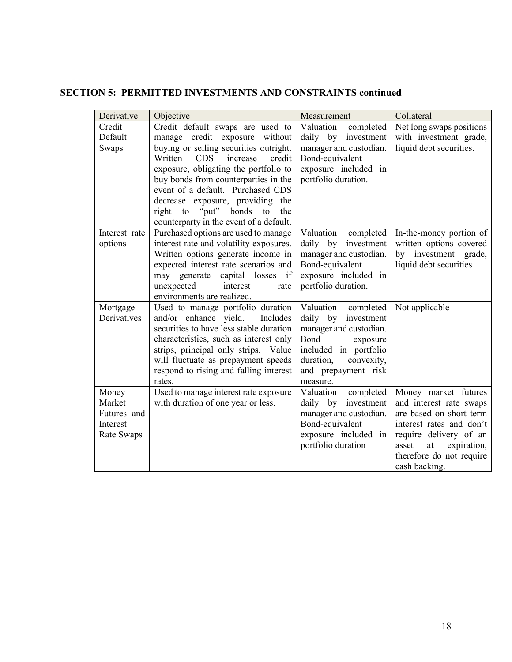| Derivative    | Objective                                                                  | Measurement                               | Collateral                                     |
|---------------|----------------------------------------------------------------------------|-------------------------------------------|------------------------------------------------|
| Credit        | Credit default swaps are used to                                           | Valuation<br>completed                    | Net long swaps positions                       |
| Default       | manage credit exposure without                                             | daily by investment                       | with investment grade,                         |
| Swaps         | buying or selling securities outright.                                     | manager and custodian.                    | liquid debt securities.                        |
|               | credit<br>Written<br><b>CDS</b><br>increase                                | Bond-equivalent                           |                                                |
|               | exposure, obligating the portfolio to                                      | exposure included in                      |                                                |
|               | buy bonds from counterparties in the                                       | portfolio duration.                       |                                                |
|               | event of a default. Purchased CDS                                          |                                           |                                                |
|               | decrease exposure, providing the                                           |                                           |                                                |
|               | right to "put" bonds to<br>the                                             |                                           |                                                |
|               | counterparty in the event of a default.                                    |                                           |                                                |
| Interest rate | Purchased options are used to manage                                       | Valuation<br>completed                    | In-the-money portion of                        |
| options       | interest rate and volatility exposures.                                    | daily by investment                       | written options covered                        |
|               | Written options generate income in<br>expected interest rate scenarios and | manager and custodian.<br>Bond-equivalent | by investment grade,<br>liquid debt securities |
|               | may generate<br>capital losses if                                          | exposure included in                      |                                                |
|               | unexpected<br>interest<br>rate                                             | portfolio duration.                       |                                                |
|               | environments are realized.                                                 |                                           |                                                |
| Mortgage      | Used to manage portfolio duration                                          | Valuation completed                       | Not applicable                                 |
| Derivatives   | and/or enhance yield.<br>Includes                                          | daily by investment                       |                                                |
|               | securities to have less stable duration                                    | manager and custodian.                    |                                                |
|               | characteristics, such as interest only                                     | Bond<br>exposure                          |                                                |
|               | strips, principal only strips. Value                                       | included in portfolio                     |                                                |
|               | will fluctuate as prepayment speeds                                        | duration,<br>convexity,                   |                                                |
|               | respond to rising and falling interest                                     | and prepayment risk                       |                                                |
|               | rates.                                                                     | measure.                                  |                                                |
| Money         | Used to manage interest rate exposure                                      | Valuation<br>completed                    | Money market futures                           |
| Market        | with duration of one year or less.                                         | daily by investment                       | and interest rate swaps                        |
| Futures and   |                                                                            | manager and custodian.                    | are based on short term                        |
| Interest      |                                                                            | Bond-equivalent                           | interest rates and don't                       |
| Rate Swaps    |                                                                            | exposure included in                      | require delivery of an                         |
|               |                                                                            | portfolio duration                        | asset<br>at<br>expiration,                     |
|               |                                                                            |                                           | therefore do not require                       |
|               |                                                                            |                                           | cash backing.                                  |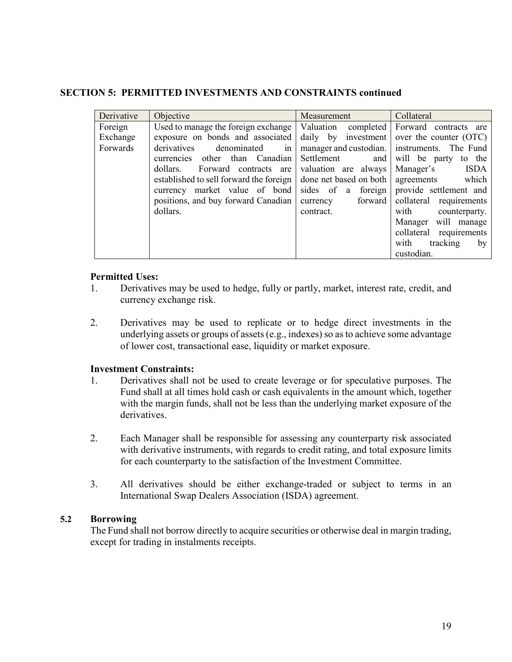| Derivative | Objective                               | Measurement            | Collateral                                     |
|------------|-----------------------------------------|------------------------|------------------------------------------------|
| Foreign    | Used to manage the foreign exchange     |                        | Valuation completed Forward contracts are      |
| Exchange   | exposure on bonds and associated        |                        | daily by investment   over the counter $(OTC)$ |
| Forwards   | derivatives<br>denominated<br>1n        |                        | manager and custodian.   instruments. The Fund |
|            | other than Canadian<br>currencies       | Settlement and         | will be party to the                           |
|            | dollars.<br>Forward contracts are       | valuation are always   | <b>ISDA</b><br>Manager's                       |
|            | established to sell forward the foreign | done net based on both | agreements<br>which                            |
|            | currency market value of bond           |                        | sides of a foreign provide settlement and      |
|            | positions, and buy forward Canadian     | currency forward       | collateral requirements                        |
|            | dollars.                                | contract.              | with<br>counterparty.                          |
|            |                                         |                        | will manage<br>Manager                         |
|            |                                         |                        | collateral requirements                        |
|            |                                         |                        | with<br>tracking<br>by                         |
|            |                                         |                        | custodian.                                     |

#### **Permitted Uses:**

- 1. Derivatives may be used to hedge, fully or partly, market, interest rate, credit, and currency exchange risk.
- 2. Derivatives may be used to replicate or to hedge direct investments in the underlying assets or groups of assets (e.g., indexes) so as to achieve some advantage of lower cost, transactional ease, liquidity or market exposure.

## **Investment Constraints:**

- 1. Derivatives shall not be used to create leverage or for speculative purposes. The Fund shall at all times hold cash or cash equivalents in the amount which, together with the margin funds, shall not be less than the underlying market exposure of the derivatives.
- 2. Each Manager shall be responsible for assessing any counterparty risk associated with derivative instruments, with regards to credit rating, and total exposure limits for each counterparty to the satisfaction of the Investment Committee.
- 3. All derivatives should be either exchange-traded or subject to terms in an International Swap Dealers Association (ISDA) agreement.

## **5.2 Borrowing**

The Fund shall not borrow directly to acquire securities or otherwise deal in margin trading, except for trading in instalments receipts.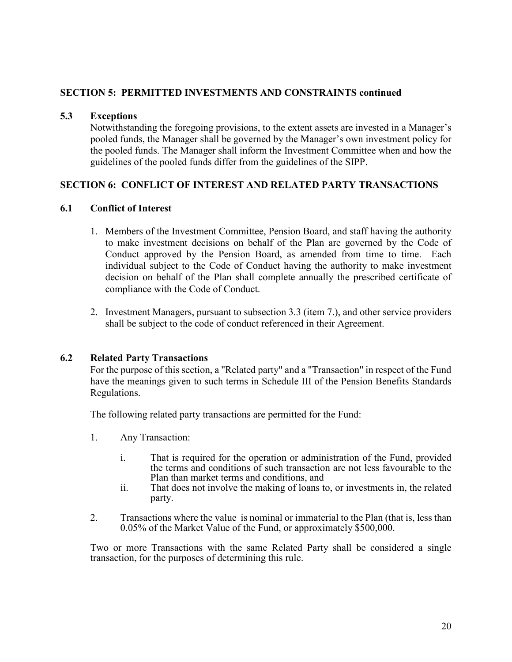#### **5.3 Exceptions**

Notwithstanding the foregoing provisions, to the extent assets are invested in a Manager's pooled funds, the Manager shall be governed by the Manager's own investment policy for the pooled funds. The Manager shall inform the Investment Committee when and how the guidelines of the pooled funds differ from the guidelines of the SIPP.

## <span id="page-21-0"></span>**SECTION 6: CONFLICT OF INTEREST AND RELATED PARTY TRANSACTIONS**

### **6.1 Conflict of Interest**

- 1. Members of the Investment Committee, Pension Board, and staff having the authority to make investment decisions on behalf of the Plan are governed by the Code of Conduct approved by the Pension Board, as amended from time to time. Each individual subject to the Code of Conduct having the authority to make investment decision on behalf of the Plan shall complete annually the prescribed certificate of compliance with the Code of Conduct.
- 2. Investment Managers, pursuant to subsection 3.3 (item 7.), and other service providers shall be subject to the code of conduct referenced in their Agreement.

#### **6.2 Related Party Transactions**

For the purpose of this section, a "Related party" and a "Transaction" in respect of the Fund have the meanings given to such terms in Schedule III of the Pension Benefits Standards Regulations.

The following related party transactions are permitted for the Fund:

- 1. Any Transaction:
	- i. That is required for the operation or administration of the Fund, provided the terms and conditions of such transaction are not less favourable to the Plan than market terms and conditions, and
	- ii. That does not involve the making of loans to, or investments in, the related party.
- 2. Transactions where the value is nominal or immaterial to the Plan (that is, less than 0.05% of the Market Value of the Fund, or approximately \$500,000.

Two or more Transactions with the same Related Party shall be considered a single transaction, for the purposes of determining this rule.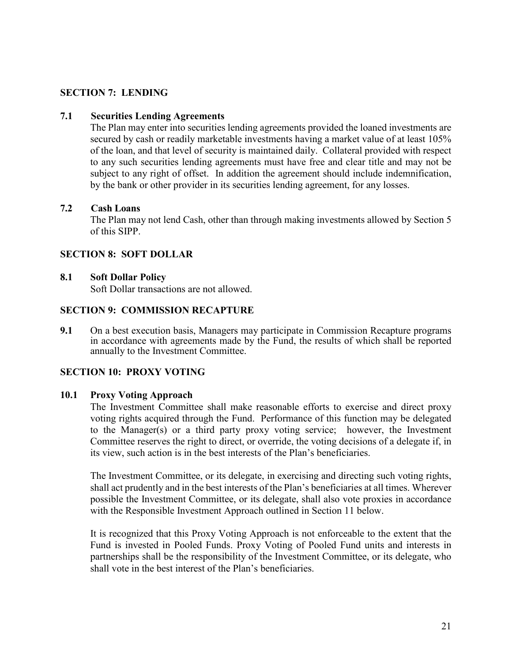## <span id="page-22-0"></span>**SECTION 7: LENDING**

#### **7.1 Securities Lending Agreements**

The Plan may enter into securities lending agreements provided the loaned investments are secured by cash or readily marketable investments having a market value of at least 105% of the loan, and that level of security is maintained daily. Collateral provided with respect to any such securities lending agreements must have free and clear title and may not be subject to any right of offset. In addition the agreement should include indemnification, by the bank or other provider in its securities lending agreement, for any losses.

#### **7.2 Cash Loans**

The Plan may not lend Cash, other than through making investments allowed by Section 5 of this SIPP.

#### <span id="page-22-1"></span>**SECTION 8: SOFT DOLLAR**

#### **8.1 Soft Dollar Policy**

Soft Dollar transactions are not allowed.

#### <span id="page-22-2"></span>**SECTION 9: COMMISSION RECAPTURE**

**9.1** On a best execution basis, Managers may participate in Commission Recapture programs in accordance with agreements made by the Fund, the results of which shall be reported annually to the Investment Committee.

#### <span id="page-22-3"></span>**SECTION 10: PROXY VOTING**

#### **10.1 Proxy Voting Approach**

The Investment Committee shall make reasonable efforts to exercise and direct proxy voting rights acquired through the Fund. Performance of this function may be delegated to the Manager(s) or a third party proxy voting service; however, the Investment Committee reserves the right to direct, or override, the voting decisions of a delegate if, in its view, such action is in the best interests of the Plan's beneficiaries.

The Investment Committee, or its delegate, in exercising and directing such voting rights, shall act prudently and in the best interests of the Plan's beneficiaries at all times. Wherever possible the Investment Committee, or its delegate, shall also vote proxies in accordance with the Responsible Investment Approach outlined in Section 11 below.

It is recognized that this Proxy Voting Approach is not enforceable to the extent that the Fund is invested in Pooled Funds. Proxy Voting of Pooled Fund units and interests in partnerships shall be the responsibility of the Investment Committee, or its delegate, who shall vote in the best interest of the Plan's beneficiaries.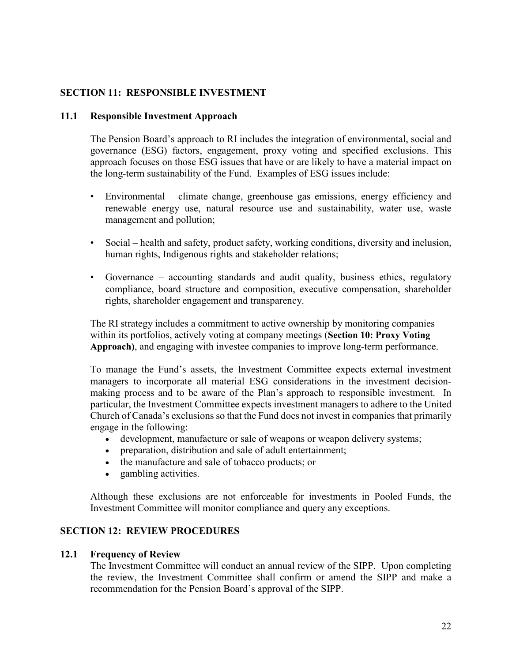## <span id="page-23-0"></span>**SECTION 11: RESPONSIBLE INVESTMENT**

#### **11.1 Responsible Investment Approach**

The Pension Board's approach to RI includes the integration of environmental, social and governance (ESG) factors, engagement, proxy voting and specified exclusions. This approach focuses on those ESG issues that have or are likely to have a material impact on the long-term sustainability of the Fund. Examples of ESG issues include:

- Environmental climate change, greenhouse gas emissions, energy efficiency and renewable energy use, natural resource use and sustainability, water use, waste management and pollution;
- Social health and safety, product safety, working conditions, diversity and inclusion, human rights, Indigenous rights and stakeholder relations;
- Governance accounting standards and audit quality, business ethics, regulatory compliance, board structure and composition, executive compensation, shareholder rights, shareholder engagement and transparency.

The RI strategy includes a commitment to active ownership by monitoring companies within its portfolios, actively voting at company meetings (**Section 10: Proxy Voting Approach)**, and engaging with investee companies to improve long-term performance.

To manage the Fund's assets, the Investment Committee expects external investment managers to incorporate all material ESG considerations in the investment decisionmaking process and to be aware of the Plan's approach to responsible investment. In particular, the Investment Committee expects investment managers to adhere to the United Church of Canada's exclusions so that the Fund does not invest in companies that primarily engage in the following:

- development, manufacture or sale of weapons or weapon delivery systems;
- preparation, distribution and sale of adult entertainment;
- the manufacture and sale of tobacco products; or
- gambling activities.

Although these exclusions are not enforceable for investments in Pooled Funds, the Investment Committee will monitor compliance and query any exceptions.

## <span id="page-23-1"></span>**SECTION 12: REVIEW PROCEDURES**

#### **12.1 Frequency of Review**

The Investment Committee will conduct an annual review of the SIPP. Upon completing the review, the Investment Committee shall confirm or amend the SIPP and make a recommendation for the Pension Board's approval of the SIPP.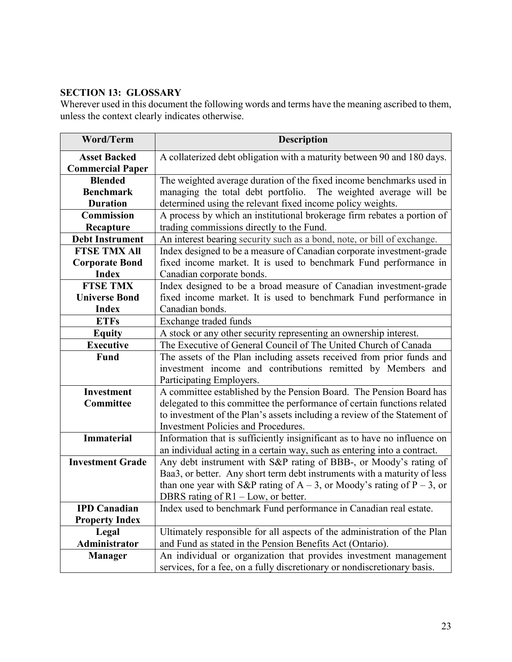## <span id="page-24-0"></span>**SECTION 13: GLOSSARY**

Wherever used in this document the following words and terms have the meaning ascribed to them, unless the context clearly indicates otherwise.

| <b>Word/Term</b>        | <b>Description</b>                                                        |
|-------------------------|---------------------------------------------------------------------------|
| <b>Asset Backed</b>     | A collaterized debt obligation with a maturity between 90 and 180 days.   |
| <b>Commercial Paper</b> |                                                                           |
| <b>Blended</b>          | The weighted average duration of the fixed income benchmarks used in      |
| <b>Benchmark</b>        | managing the total debt portfolio. The weighted average will be           |
| <b>Duration</b>         | determined using the relevant fixed income policy weights.                |
| <b>Commission</b>       | A process by which an institutional brokerage firm rebates a portion of   |
| Recapture               | trading commissions directly to the Fund.                                 |
| <b>Debt Instrument</b>  | An interest bearing security such as a bond, note, or bill of exchange.   |
| <b>FTSE TMX All</b>     | Index designed to be a measure of Canadian corporate investment-grade     |
| <b>Corporate Bond</b>   | fixed income market. It is used to benchmark Fund performance in          |
| <b>Index</b>            | Canadian corporate bonds.                                                 |
| <b>FTSE TMX</b>         | Index designed to be a broad measure of Canadian investment-grade         |
| <b>Universe Bond</b>    | fixed income market. It is used to benchmark Fund performance in          |
| <b>Index</b>            | Canadian bonds.                                                           |
| <b>ETFs</b>             | Exchange traded funds                                                     |
| <b>Equity</b>           | A stock or any other security representing an ownership interest.         |
| <b>Executive</b>        | The Executive of General Council of The United Church of Canada           |
| <b>Fund</b>             | The assets of the Plan including assets received from prior funds and     |
|                         | investment income and contributions remitted by Members and               |
|                         | Participating Employers.                                                  |
| Investment              | A committee established by the Pension Board. The Pension Board has       |
| Committee               | delegated to this committee the performance of certain functions related  |
|                         | to investment of the Plan's assets including a review of the Statement of |
|                         | <b>Investment Policies and Procedures.</b>                                |
| <b>Immaterial</b>       | Information that is sufficiently insignificant as to have no influence on |
|                         | an individual acting in a certain way, such as entering into a contract.  |
| <b>Investment Grade</b> | Any debt instrument with S&P rating of BBB-, or Moody's rating of         |
|                         | Baa3, or better. Any short term debt instruments with a maturity of less  |
|                         | than one year with S&P rating of $A - 3$ , or Moody's rating of P – 3, or |
|                         | DBRS rating of $R1 - Low$ , or better.                                    |
| <b>IPD</b> Canadian     | Index used to benchmark Fund performance in Canadian real estate.         |
| <b>Property Index</b>   |                                                                           |
| Legal                   | Ultimately responsible for all aspects of the administration of the Plan  |
| Administrator           | and Fund as stated in the Pension Benefits Act (Ontario).                 |
| <b>Manager</b>          | An individual or organization that provides investment management         |
|                         | services, for a fee, on a fully discretionary or nondiscretionary basis.  |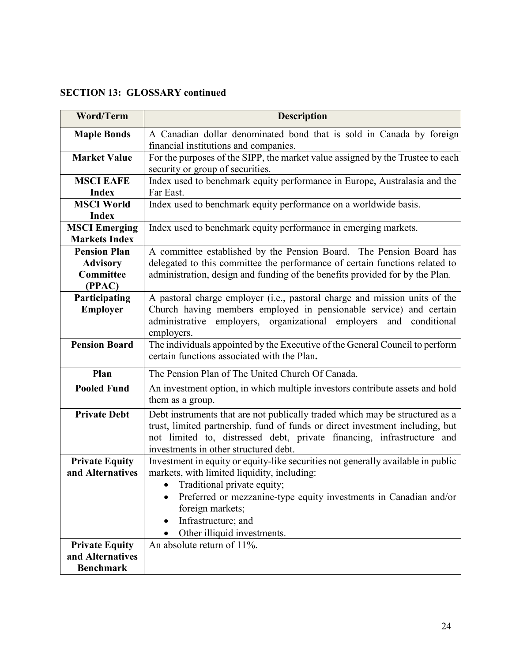## **SECTION 13: GLOSSARY continued**

| <b>Word/Term</b>      | <b>Description</b>                                                               |
|-----------------------|----------------------------------------------------------------------------------|
| <b>Maple Bonds</b>    | A Canadian dollar denominated bond that is sold in Canada by foreign             |
|                       | financial institutions and companies.                                            |
| <b>Market Value</b>   | For the purposes of the SIPP, the market value assigned by the Trustee to each   |
|                       | security or group of securities.                                                 |
| <b>MSCI EAFE</b>      | Index used to benchmark equity performance in Europe, Australasia and the        |
| <b>Index</b>          | Far East.                                                                        |
| <b>MSCI World</b>     | Index used to benchmark equity performance on a worldwide basis.                 |
| <b>Index</b>          |                                                                                  |
| <b>MSCI Emerging</b>  | Index used to benchmark equity performance in emerging markets.                  |
| <b>Markets Index</b>  |                                                                                  |
| <b>Pension Plan</b>   | A committee established by the Pension Board. The Pension Board has              |
| <b>Advisory</b>       | delegated to this committee the performance of certain functions related to      |
| Committee<br>(PPAC)   | administration, design and funding of the benefits provided for by the Plan.     |
| Participating         | A pastoral charge employer (i.e., pastoral charge and mission units of the       |
| <b>Employer</b>       | Church having members employed in pensionable service) and certain               |
|                       | employers, organizational employers<br>and conditional<br>administrative         |
|                       | employers.                                                                       |
| <b>Pension Board</b>  | The individuals appointed by the Executive of the General Council to perform     |
|                       | certain functions associated with the Plan.                                      |
| Plan                  | The Pension Plan of The United Church Of Canada.                                 |
| <b>Pooled Fund</b>    | An investment option, in which multiple investors contribute assets and hold     |
|                       | them as a group.                                                                 |
| <b>Private Debt</b>   | Debt instruments that are not publically traded which may be structured as a     |
|                       | trust, limited partnership, fund of funds or direct investment including, but    |
|                       | not limited to, distressed debt, private financing, infrastructure and           |
|                       | investments in other structured debt.                                            |
| <b>Private Equity</b> | Investment in equity or equity-like securities not generally available in public |
| and Alternatives      | markets, with limited liquidity, including:                                      |
|                       | Traditional private equity;                                                      |
|                       | Preferred or mezzanine-type equity investments in Canadian and/or                |
|                       | foreign markets;                                                                 |
|                       | Infrastructure; and                                                              |
|                       | Other illiquid investments.                                                      |
| <b>Private Equity</b> | An absolute return of 11%.                                                       |
| and Alternatives      |                                                                                  |
| <b>Benchmark</b>      |                                                                                  |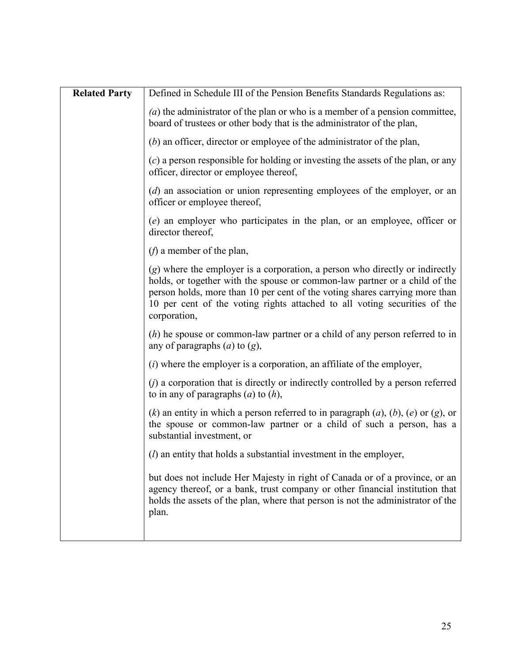| <b>Related Party</b> | Defined in Schedule III of the Pension Benefits Standards Regulations as:                                                                                                                                                                                                                                                                |
|----------------------|------------------------------------------------------------------------------------------------------------------------------------------------------------------------------------------------------------------------------------------------------------------------------------------------------------------------------------------|
|                      | $(a)$ the administrator of the plan or who is a member of a pension committee,<br>board of trustees or other body that is the administrator of the plan,                                                                                                                                                                                 |
|                      | $(b)$ an officer, director or employee of the administrator of the plan,                                                                                                                                                                                                                                                                 |
|                      | $(c)$ a person responsible for holding or investing the assets of the plan, or any<br>officer, director or employee thereof,                                                                                                                                                                                                             |
|                      | $(d)$ an association or union representing employees of the employer, or an<br>officer or employee thereof,                                                                                                                                                                                                                              |
|                      | (e) an employer who participates in the plan, or an employee, officer or<br>director thereof,                                                                                                                                                                                                                                            |
|                      | $(f)$ a member of the plan,                                                                                                                                                                                                                                                                                                              |
|                      | $(g)$ where the employer is a corporation, a person who directly or indirectly<br>holds, or together with the spouse or common-law partner or a child of the<br>person holds, more than 10 per cent of the voting shares carrying more than<br>10 per cent of the voting rights attached to all voting securities of the<br>corporation, |
|                      | $(h)$ he spouse or common-law partner or a child of any person referred to in<br>any of paragraphs $(a)$ to $(g)$ ,                                                                                                                                                                                                                      |
|                      | $(i)$ where the employer is a corporation, an affiliate of the employer,                                                                                                                                                                                                                                                                 |
|                      | $(j)$ a corporation that is directly or indirectly controlled by a person referred<br>to in any of paragraphs $(a)$ to $(h)$ ,                                                                                                                                                                                                           |
|                      | (k) an entity in which a person referred to in paragraph $(a)$ , $(b)$ , $(e)$ or $(g)$ , or<br>the spouse or common-law partner or a child of such a person, has a<br>substantial investment, or                                                                                                                                        |
|                      | $(l)$ an entity that holds a substantial investment in the employer,                                                                                                                                                                                                                                                                     |
|                      | but does not include Her Majesty in right of Canada or of a province, or an<br>agency thereof, or a bank, trust company or other financial institution that<br>holds the assets of the plan, where that person is not the administrator of the<br>plan.                                                                                  |
|                      |                                                                                                                                                                                                                                                                                                                                          |